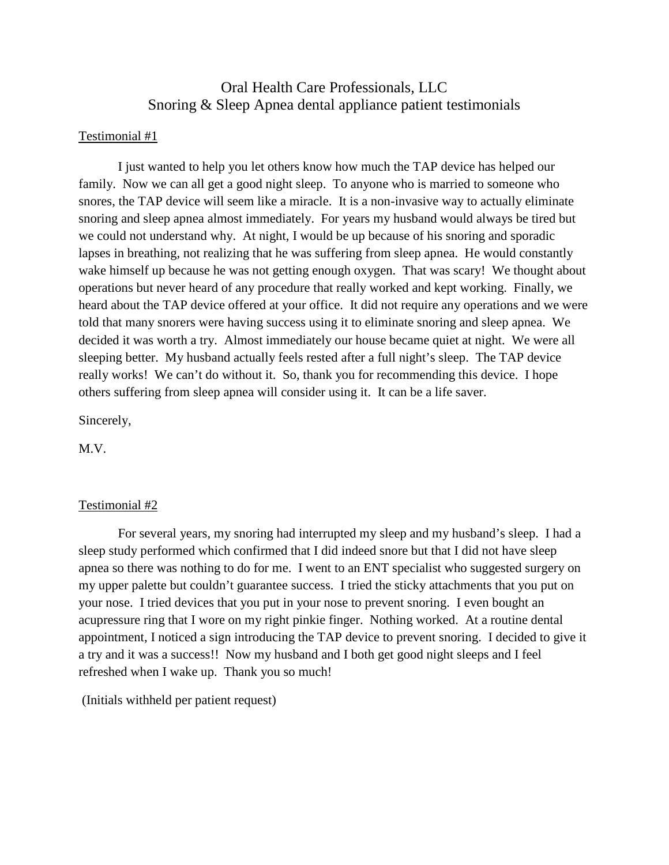# Oral Health Care Professionals, LLC Snoring & Sleep Apnea dental appliance patient testimonials

## Testimonial #1

I just wanted to help you let others know how much the TAP device has helped our family. Now we can all get a good night sleep. To anyone who is married to someone who snores, the TAP device will seem like a miracle. It is a non-invasive way to actually eliminate snoring and sleep apnea almost immediately. For years my husband would always be tired but we could not understand why. At night, I would be up because of his snoring and sporadic lapses in breathing, not realizing that he was suffering from sleep apnea. He would constantly wake himself up because he was not getting enough oxygen. That was scary! We thought about operations but never heard of any procedure that really worked and kept working. Finally, we heard about the TAP device offered at your office. It did not require any operations and we were told that many snorers were having success using it to eliminate snoring and sleep apnea. We decided it was worth a try. Almost immediately our house became quiet at night. We were all sleeping better. My husband actually feels rested after a full night's sleep. The TAP device really works! We can't do without it. So, thank you for recommending this device. I hope others suffering from sleep apnea will consider using it. It can be a life saver.

Sincerely,

M.V.

#### Testimonial #2

For several years, my snoring had interrupted my sleep and my husband's sleep. I had a sleep study performed which confirmed that I did indeed snore but that I did not have sleep apnea so there was nothing to do for me. I went to an ENT specialist who suggested surgery on my upper palette but couldn't guarantee success. I tried the sticky attachments that you put on your nose. I tried devices that you put in your nose to prevent snoring. I even bought an acupressure ring that I wore on my right pinkie finger. Nothing worked. At a routine dental appointment, I noticed a sign introducing the TAP device to prevent snoring. I decided to give it a try and it was a success!! Now my husband and I both get good night sleeps and I feel refreshed when I wake up. Thank you so much!

(Initials withheld per patient request)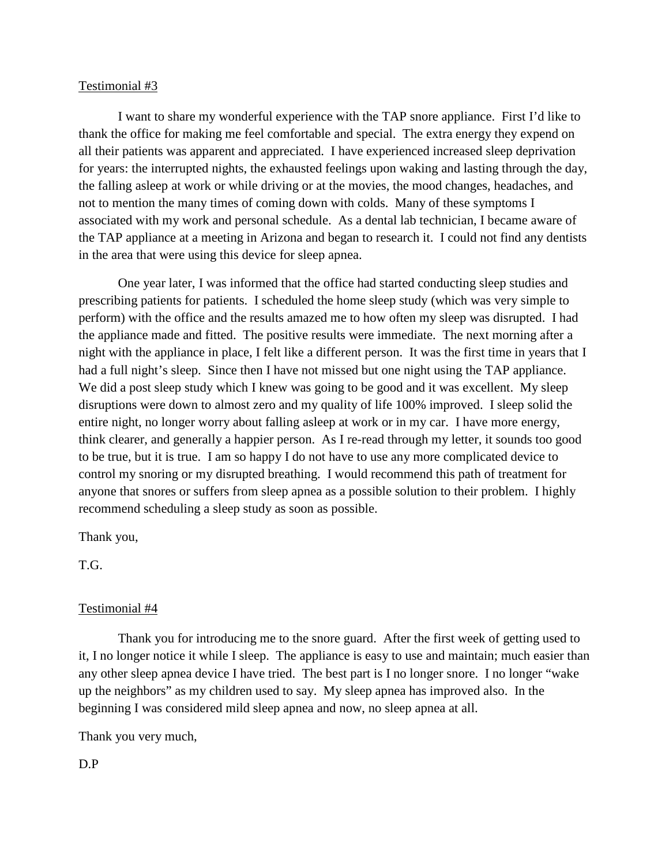I want to share my wonderful experience with the TAP snore appliance. First I'd like to thank the office for making me feel comfortable and special. The extra energy they expend on all their patients was apparent and appreciated. I have experienced increased sleep deprivation for years: the interrupted nights, the exhausted feelings upon waking and lasting through the day, the falling asleep at work or while driving or at the movies, the mood changes, headaches, and not to mention the many times of coming down with colds. Many of these symptoms I associated with my work and personal schedule. As a dental lab technician, I became aware of the TAP appliance at a meeting in Arizona and began to research it. I could not find any dentists in the area that were using this device for sleep apnea.

One year later, I was informed that the office had started conducting sleep studies and prescribing patients for patients. I scheduled the home sleep study (which was very simple to perform) with the office and the results amazed me to how often my sleep was disrupted. I had the appliance made and fitted. The positive results were immediate. The next morning after a night with the appliance in place, I felt like a different person. It was the first time in years that I had a full night's sleep. Since then I have not missed but one night using the TAP appliance. We did a post sleep study which I knew was going to be good and it was excellent. My sleep disruptions were down to almost zero and my quality of life 100% improved. I sleep solid the entire night, no longer worry about falling asleep at work or in my car. I have more energy, think clearer, and generally a happier person. As I re-read through my letter, it sounds too good to be true, but it is true. I am so happy I do not have to use any more complicated device to control my snoring or my disrupted breathing. I would recommend this path of treatment for anyone that snores or suffers from sleep apnea as a possible solution to their problem. I highly recommend scheduling a sleep study as soon as possible.

Thank you,

T.G.

#### Testimonial #4

Thank you for introducing me to the snore guard. After the first week of getting used to it, I no longer notice it while I sleep. The appliance is easy to use and maintain; much easier than any other sleep apnea device I have tried. The best part is I no longer snore. I no longer "wake up the neighbors" as my children used to say. My sleep apnea has improved also. In the beginning I was considered mild sleep apnea and now, no sleep apnea at all.

Thank you very much,

D.P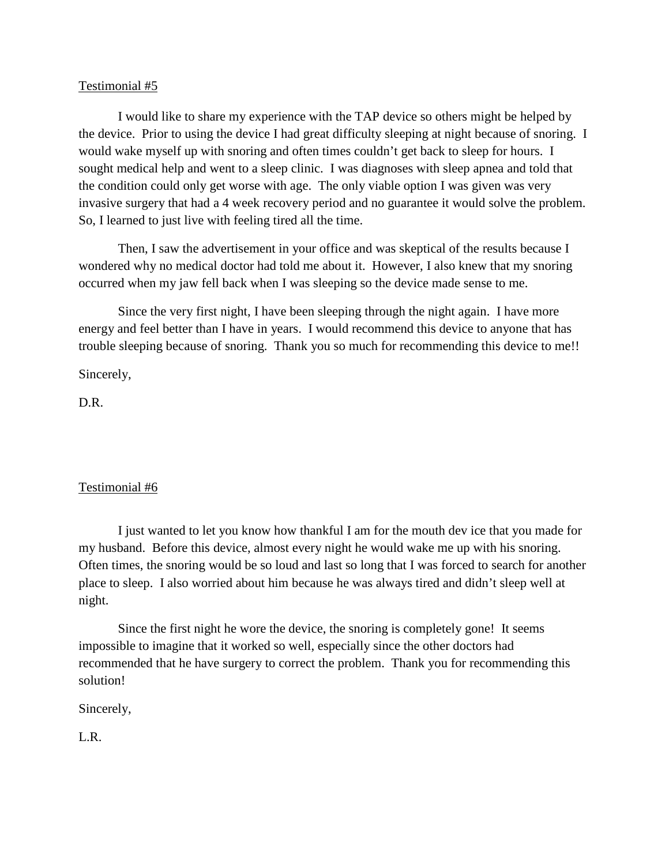I would like to share my experience with the TAP device so others might be helped by the device. Prior to using the device I had great difficulty sleeping at night because of snoring. I would wake myself up with snoring and often times couldn't get back to sleep for hours. I sought medical help and went to a sleep clinic. I was diagnoses with sleep apnea and told that the condition could only get worse with age. The only viable option I was given was very invasive surgery that had a 4 week recovery period and no guarantee it would solve the problem. So, I learned to just live with feeling tired all the time.

Then, I saw the advertisement in your office and was skeptical of the results because I wondered why no medical doctor had told me about it. However, I also knew that my snoring occurred when my jaw fell back when I was sleeping so the device made sense to me.

Since the very first night, I have been sleeping through the night again. I have more energy and feel better than I have in years. I would recommend this device to anyone that has trouble sleeping because of snoring. Thank you so much for recommending this device to me!!

Sincerely,

D.R.

# Testimonial #6

I just wanted to let you know how thankful I am for the mouth dev ice that you made for my husband. Before this device, almost every night he would wake me up with his snoring. Often times, the snoring would be so loud and last so long that I was forced to search for another place to sleep. I also worried about him because he was always tired and didn't sleep well at night.

Since the first night he wore the device, the snoring is completely gone! It seems impossible to imagine that it worked so well, especially since the other doctors had recommended that he have surgery to correct the problem. Thank you for recommending this solution!

Sincerely,

L.R.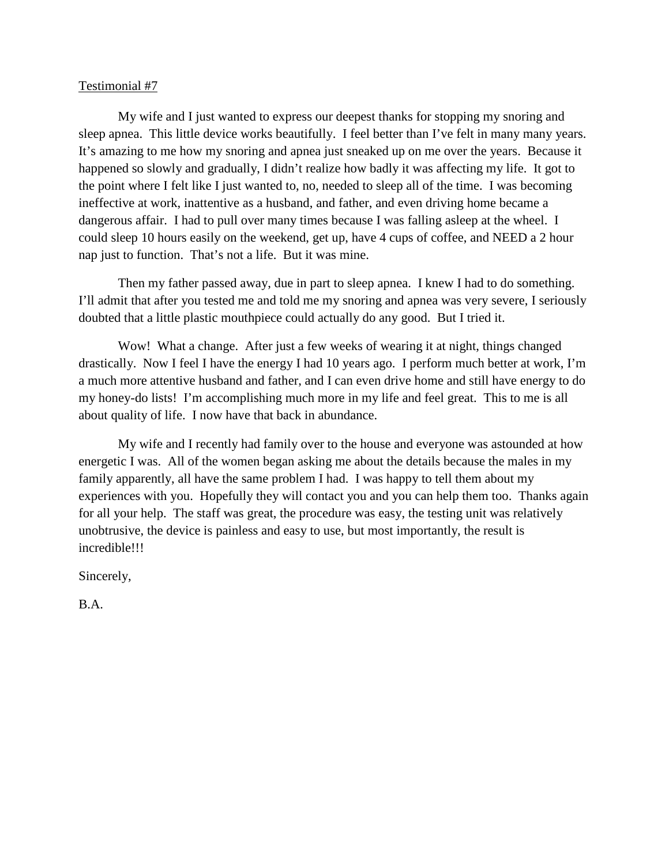My wife and I just wanted to express our deepest thanks for stopping my snoring and sleep apnea. This little device works beautifully. I feel better than I've felt in many many years. It's amazing to me how my snoring and apnea just sneaked up on me over the years. Because it happened so slowly and gradually, I didn't realize how badly it was affecting my life. It got to the point where I felt like I just wanted to, no, needed to sleep all of the time. I was becoming ineffective at work, inattentive as a husband, and father, and even driving home became a dangerous affair. I had to pull over many times because I was falling asleep at the wheel. I could sleep 10 hours easily on the weekend, get up, have 4 cups of coffee, and NEED a 2 hour nap just to function. That's not a life. But it was mine.

Then my father passed away, due in part to sleep apnea. I knew I had to do something. I'll admit that after you tested me and told me my snoring and apnea was very severe, I seriously doubted that a little plastic mouthpiece could actually do any good. But I tried it.

Wow! What a change. After just a few weeks of wearing it at night, things changed drastically. Now I feel I have the energy I had 10 years ago. I perform much better at work, I'm a much more attentive husband and father, and I can even drive home and still have energy to do my honey-do lists! I'm accomplishing much more in my life and feel great. This to me is all about quality of life. I now have that back in abundance.

My wife and I recently had family over to the house and everyone was astounded at how energetic I was. All of the women began asking me about the details because the males in my family apparently, all have the same problem I had. I was happy to tell them about my experiences with you. Hopefully they will contact you and you can help them too. Thanks again for all your help. The staff was great, the procedure was easy, the testing unit was relatively unobtrusive, the device is painless and easy to use, but most importantly, the result is incredible!!!

Sincerely,

B.A.